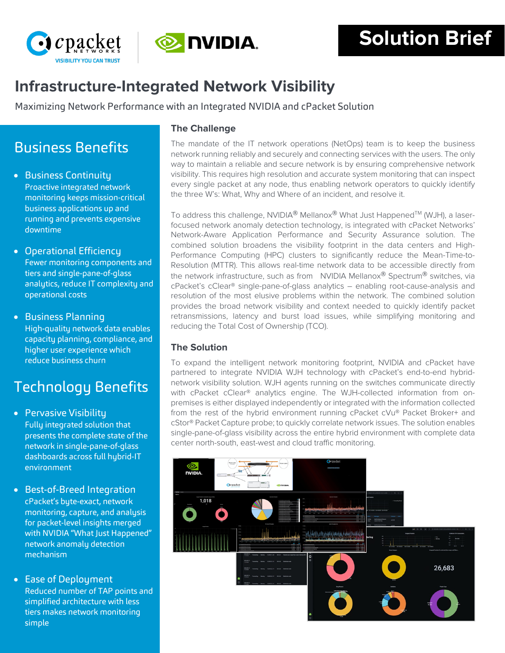



# **Infrastructure-Integrated Network Visibility**

Maximizing Network Performance with an Integrated NVIDIA and cPacket Solution

## Business Benefits

- Business Continuity Proactive integrated network monitoring keeps mission-critical business applications up and running and prevents expensive downtime
- Operational Efficiency Fewer monitoring components and tiers and single-pane-of-glass analytics, reduce IT complexity and operational costs
- Business Planning High-quality network data enables capacity planning, compliance, and higher user experience which reduce business churn

# Technology Benefits

- Pervasive Visibility Fully integrated solution that presents the complete state of the network in single-pane-of-glass dashboards across full hybrid-IT environment
- Best-of-Breed Integration cPacket's byte-exact, network monitoring, capture, and analysis for packet-level insights merged with NVIDIA "What Just Happened" network anomaly detection mechanism
- Ease of Deployment Reduced number of TAP points and simplified architecture with less tiers makes network monitoring simple

## **The Challenge**

The mandate of the IT network operations (NetOps) team is to keep the business network running reliably and securely and connecting services with the users. The only way to maintain a reliable and secure network is by ensuring comprehensive network visibility. This requires high resolution and accurate system monitoring that can inspect every single packet at any node, thus enabling network operators to quickly identify the three W's: What, Why and Where of an incident, and resolve it.

To address this challenge, NVIDIA<sup>®</sup> Mellanox® What Just Happened<sup>™</sup> (WJH), a laserfocused network anomaly detection technology, is integrated with cPacket Networks' Network-Aware Application Performance and Security Assurance solution. The combined solution broadens the visibility footprint in the data centers and High-Performance Computing (HPC) clusters to significantly reduce the Mean-Time-to-Resolution (MTTR). This allows real-time network data to be accessible directly from the network infrastructure, such as from NVIDIA Mellanox® Spectrum® switches, via cPacket's cClear® single-pane-of-glass analytics – enabling root-cause-analysis and resolution of the most elusive problems within the network. The combined solution provides the broad network visibility and context needed to quickly identify packet retransmissions, latency and burst load issues, while simplifying monitoring and reducing the Total Cost of Ownership (TCO).

## **The Solution**

To expand the intelligent network monitoring footprint, NVIDIA and cPacket have partnered to integrate NVIDIA WJH technology with cPacket's end-to-end hybridnetwork visibility solution. WJH agents running on the switches communicate directly with cPacket cClear® analytics engine. The WJH-collected information from onpremises is either displayed independently or integrated with the information collected from the rest of the hybrid environment running cPacket cVu® Packet Broker+ and cStor® Packet Capture probe; to quickly correlate network issues. The solution enables single-pane-of-glass visibility across the entire hybrid environment with complete data center north-south, east-west and cloud traffic monitoring.